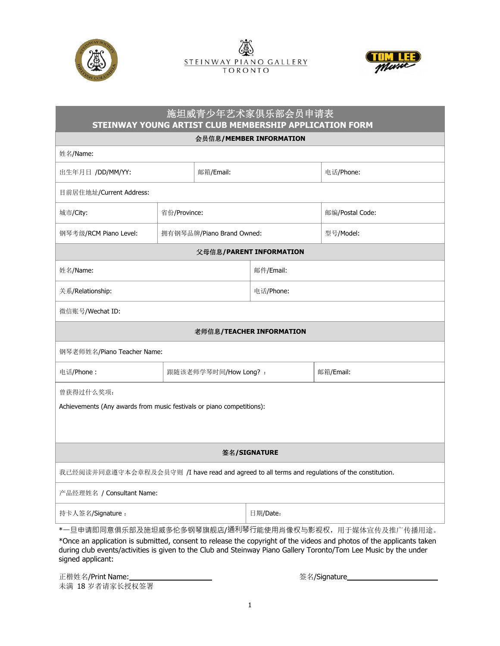





## 施坦威青少年艺术家俱乐部会员申请表  **STEINWAY YOUNG ARTIST CLUB MEMBERSHIP APPLICATION FORM**

会员信息**/MEMBER INFORMATION** 

| 姓名/Name:                                                                                                                                                                                                                                                                                                               |                           |           |           |                 |
|------------------------------------------------------------------------------------------------------------------------------------------------------------------------------------------------------------------------------------------------------------------------------------------------------------------------|---------------------------|-----------|-----------|-----------------|
| 出生年月日 /DD/MM/YY:                                                                                                                                                                                                                                                                                                       |                           | 邮箱/Email: |           | 电话/Phone:       |
| 目前居住地址/Current Address:                                                                                                                                                                                                                                                                                                |                           |           |           |                 |
| 城市/City:                                                                                                                                                                                                                                                                                                               | 省份/Province:              |           |           | 邮编/Postal Code: |
| 钢琴考级/RCM Piano Level:                                                                                                                                                                                                                                                                                                  | 拥有钢琴品牌/Piano Brand Owned: |           |           | 型号/Model:       |
| 父母信息/PARENT INFORMATION                                                                                                                                                                                                                                                                                                |                           |           |           |                 |
| 姓名/Name:                                                                                                                                                                                                                                                                                                               |                           |           | 邮件/Email: |                 |
| 关系/Relationship:                                                                                                                                                                                                                                                                                                       |                           |           | 电话/Phone: |                 |
| 微信账号/Wechat ID:                                                                                                                                                                                                                                                                                                        |                           |           |           |                 |
| 老师信息/TEACHER INFORMATION                                                                                                                                                                                                                                                                                               |                           |           |           |                 |
| 钢琴老师姓名/Piano Teacher Name:                                                                                                                                                                                                                                                                                             |                           |           |           |                 |
| 电话/Phone:                                                                                                                                                                                                                                                                                                              | 跟随该老师学琴时间/How Long? :     |           |           | 邮箱/Email:       |
| 曾获得过什么奖项:                                                                                                                                                                                                                                                                                                              |                           |           |           |                 |
| Achievements (Any awards from music festivals or piano competitions):                                                                                                                                                                                                                                                  |                           |           |           |                 |
|                                                                                                                                                                                                                                                                                                                        |                           |           |           |                 |
| 签名/SIGNATURE                                                                                                                                                                                                                                                                                                           |                           |           |           |                 |
| 我已经阅读并同意遵守本会章程及会员守则 /I have read and agreed to all terms and regulations of the constitution.                                                                                                                                                                                                                          |                           |           |           |                 |
| 产品经理姓名 / Consultant Name:                                                                                                                                                                                                                                                                                              |                           |           |           |                 |
| 持卡人签名/Signature:                                                                                                                                                                                                                                                                                                       |                           |           | 日期/Date:  |                 |
| *一旦申请即同意俱乐部及施坦威多伦多钢琴旗舰店/通利琴行能使用肖像权与影视权,用于媒体宣传及推广传播用途。<br>*Once an application is submitted, consent to release the copyright of the videos and photos of the applicants taken<br>during club events/activities is given to the Club and Steinway Piano Gallery Toronto/Tom Lee Music by the under<br>signed applicant: |                           |           |           |                 |

正楷姓名/Print Name: 未满 18 岁者请家长授权签署

签名/Signature\_\_\_\_\_\_